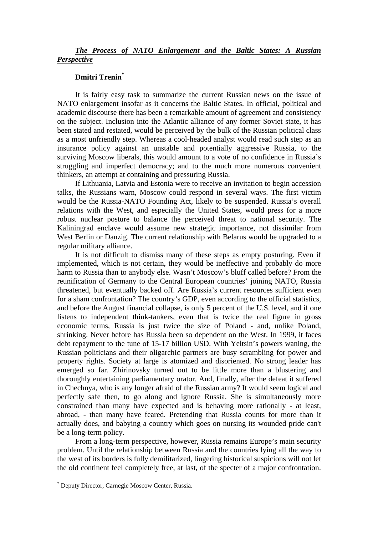## *The Process of NATO Enlargement and the Baltic States: A Russian Perspective*

## **Dmitri Trenin\***

It is fairly easy task to summarize the current Russian news on the issue of NATO enlargement insofar as it concerns the Baltic States. In official, political and academic discourse there has been a remarkable amount of agreement and consistency on the subject. Inclusion into the Atlantic alliance of any former Soviet state, it has been stated and restated, would be perceived by the bulk of the Russian political class as a most unfriendly step. Whereas a cool-headed analyst would read such step as an insurance policy against an unstable and potentially aggressive Russia, to the surviving Moscow liberals, this would amount to a vote of no confidence in Russia's struggling and imperfect democracy; and to the much more numerous convenient thinkers, an attempt at containing and pressuring Russia.

If Lithuania, Latvia and Estonia were to receive an invitation to begin accession talks, the Russians warn, Moscow could respond in several ways. The first victim would be the Russia-NATO Founding Act, likely to be suspended. Russia's overall relations with the West, and especially the United States, would press for a more robust nuclear posture to balance the perceived threat to national security. The Kaliningrad enclave would assume new strategic importance, not dissimilar from West Berlin or Danzig. The current relationship with Belarus would be upgraded to a regular military alliance.

It is not difficult to dismiss many of these steps as empty posturing. Even if implemented, which is not certain, they would be ineffective and probably do more harm to Russia than to anybody else. Wasn't Moscow's bluff called before? From the reunification of Germany to the Central European countries' joining NATO, Russia threatened, but eventually backed off. Are Russia's current resources sufficient even for a sham confrontation? The country's GDP, even according to the official statistics, and before the August financial collapse, is only 5 percent of the U.S. level, and if one listens to independent think-tankers, even that is twice the real figure in gross economic terms, Russia is just twice the size of Poland - and, unlike Poland, shrinking. Never before has Russia been so dependent on the West. In 1999, it faces debt repayment to the tune of 15-17 billion USD. With Yeltsin's powers waning, the Russian politicians and their oligarchic partners are busy scrambling for power and property rights. Society at large is atomized and disoriented. No strong leader has emerged so far. Zhirinovsky turned out to be little more than a blustering and thoroughly entertaining parliamentary orator. And, finally, after the defeat it suffered in Chechnya, who is any longer afraid of the Russian army? It would seem logical and perfectly safe then, to go along and ignore Russia. She is simultaneously more constrained than many have expected and is behaving more rationally - at least, abroad, - than many have feared. Pretending that Russia counts for more than it actually does, and babying a country which goes on nursing its wounded pride can't be a long-term policy.

From a long-term perspective, however, Russia remains Europe's main security problem. Until the relationship between Russia and the countries lying all the way to the west of its borders is fully demilitarized, lingering historical suspicions will not let the old continent feel completely free, at last, of the specter of a major confrontation.

 $\overline{a}$ 

<sup>\*</sup> Deputy Director, Carnegie Moscow Center, Russia.